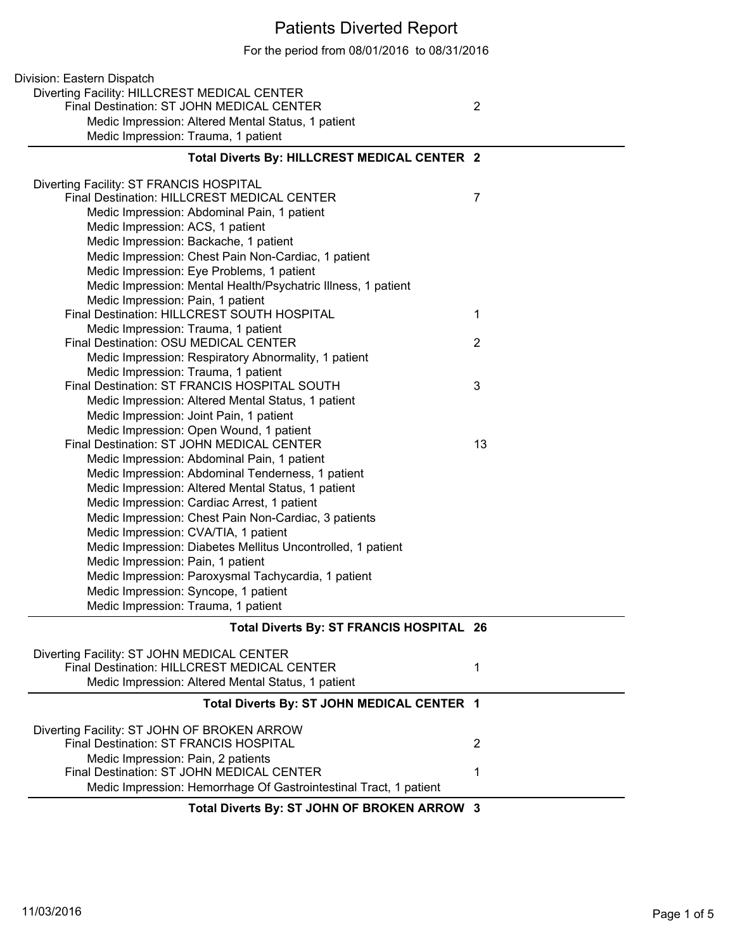## Patients Diverted Report

For the period from 08/01/2016 to 08/31/2016

| Division: Eastern Dispatch                                                       |                |
|----------------------------------------------------------------------------------|----------------|
| Diverting Facility: HILLCREST MEDICAL CENTER                                     |                |
| Final Destination: ST JOHN MEDICAL CENTER                                        | $\overline{2}$ |
| Medic Impression: Altered Mental Status, 1 patient                               |                |
| Medic Impression: Trauma, 1 patient                                              |                |
| Total Diverts By: HILLCREST MEDICAL CENTER 2                                     |                |
| Diverting Facility: ST FRANCIS HOSPITAL                                          |                |
| Final Destination: HILLCREST MEDICAL CENTER                                      | 7              |
| Medic Impression: Abdominal Pain, 1 patient                                      |                |
| Medic Impression: ACS, 1 patient                                                 |                |
| Medic Impression: Backache, 1 patient                                            |                |
| Medic Impression: Chest Pain Non-Cardiac, 1 patient                              |                |
| Medic Impression: Eye Problems, 1 patient                                        |                |
| Medic Impression: Mental Health/Psychatric Illness, 1 patient                    |                |
| Medic Impression: Pain, 1 patient<br>Final Destination: HILLCREST SOUTH HOSPITAL | $\mathbf 1$    |
| Medic Impression: Trauma, 1 patient                                              |                |
| Final Destination: OSU MEDICAL CENTER                                            | $\overline{2}$ |
| Medic Impression: Respiratory Abnormality, 1 patient                             |                |
| Medic Impression: Trauma, 1 patient                                              |                |
| Final Destination: ST FRANCIS HOSPITAL SOUTH                                     | 3              |
| Medic Impression: Altered Mental Status, 1 patient                               |                |
| Medic Impression: Joint Pain, 1 patient                                          |                |
| Medic Impression: Open Wound, 1 patient                                          |                |
| Final Destination: ST JOHN MEDICAL CENTER                                        | 13             |
| Medic Impression: Abdominal Pain, 1 patient                                      |                |
| Medic Impression: Abdominal Tenderness, 1 patient                                |                |
| Medic Impression: Altered Mental Status, 1 patient                               |                |
| Medic Impression: Cardiac Arrest, 1 patient                                      |                |
| Medic Impression: Chest Pain Non-Cardiac, 3 patients                             |                |
| Medic Impression: CVA/TIA, 1 patient                                             |                |
| Medic Impression: Diabetes Mellitus Uncontrolled, 1 patient                      |                |
| Medic Impression: Pain, 1 patient                                                |                |
| Medic Impression: Paroxysmal Tachycardia, 1 patient                              |                |
| Medic Impression: Syncope, 1 patient                                             |                |
| Medic Impression: Trauma, 1 patient                                              |                |
| Total Diverts By: ST FRANCIS HOSPITAL 26                                         |                |
| Diverting Facility: ST JOHN MEDICAL CENTER                                       |                |
| Final Destination: HILLCREST MEDICAL CENTER                                      | 1              |
| Medic Impression: Altered Mental Status, 1 patient                               |                |
| Total Diverts By: ST JOHN MEDICAL CENTER 1                                       |                |
| Diverting Facility: ST JOHN OF BROKEN ARROW                                      |                |
| <b>Final Destination: ST FRANCIS HOSPITAL</b>                                    | 2              |
| Medic Impression: Pain, 2 patients                                               |                |
| Final Destination: ST JOHN MEDICAL CENTER                                        | 1              |
| Medic Impression: Hemorrhage Of Gastrointestinal Tract, 1 patient                |                |
| Total Diverts By: ST JOHN OF BROKEN ARROW 3                                      |                |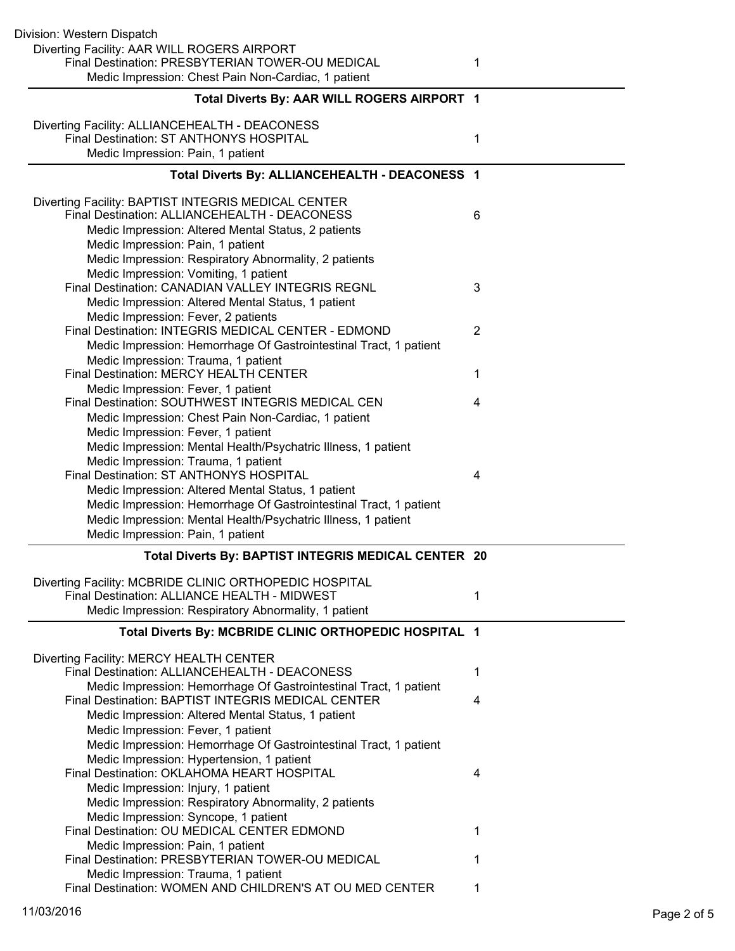| Division: Western Dispatch                                                                      |   |
|-------------------------------------------------------------------------------------------------|---|
| Diverting Facility: AAR WILL ROGERS AIRPORT                                                     |   |
| Final Destination: PRESBYTERIAN TOWER-OU MEDICAL                                                | 1 |
| Medic Impression: Chest Pain Non-Cardiac, 1 patient                                             |   |
| Total Diverts By: AAR WILL ROGERS AIRPORT 1                                                     |   |
| Diverting Facility: ALLIANCEHEALTH - DEACONESS                                                  |   |
| Final Destination: ST ANTHONYS HOSPITAL                                                         | 1 |
| Medic Impression: Pain, 1 patient                                                               |   |
| Total Diverts By: ALLIANCEHEALTH - DEACONESS 1                                                  |   |
| Diverting Facility: BAPTIST INTEGRIS MEDICAL CENTER                                             |   |
| Final Destination: ALLIANCEHEALTH - DEACONESS                                                   | 6 |
| Medic Impression: Altered Mental Status, 2 patients                                             |   |
| Medic Impression: Pain, 1 patient                                                               |   |
| Medic Impression: Respiratory Abnormality, 2 patients                                           |   |
| Medic Impression: Vomiting, 1 patient                                                           |   |
| <b>Final Destination: CANADIAN VALLEY INTEGRIS REGNL</b>                                        | 3 |
| Medic Impression: Altered Mental Status, 1 patient                                              |   |
| Medic Impression: Fever, 2 patients                                                             |   |
| Final Destination: INTEGRIS MEDICAL CENTER - EDMOND                                             | 2 |
| Medic Impression: Hemorrhage Of Gastrointestinal Tract, 1 patient                               |   |
| Medic Impression: Trauma, 1 patient<br>Final Destination: MERCY HEALTH CENTER                   |   |
| Medic Impression: Fever, 1 patient                                                              | 1 |
| Final Destination: SOUTHWEST INTEGRIS MEDICAL CEN                                               | 4 |
| Medic Impression: Chest Pain Non-Cardiac, 1 patient                                             |   |
| Medic Impression: Fever, 1 patient                                                              |   |
| Medic Impression: Mental Health/Psychatric Illness, 1 patient                                   |   |
| Medic Impression: Trauma, 1 patient                                                             |   |
| Final Destination: ST ANTHONYS HOSPITAL                                                         | 4 |
| Medic Impression: Altered Mental Status, 1 patient                                              |   |
| Medic Impression: Hemorrhage Of Gastrointestinal Tract, 1 patient                               |   |
| Medic Impression: Mental Health/Psychatric Illness, 1 patient                                   |   |
| Medic Impression: Pain, 1 patient                                                               |   |
| Total Diverts By: BAPTIST INTEGRIS MEDICAL CENTER 20                                            |   |
| Diverting Facility: MCBRIDE CLINIC ORTHOPEDIC HOSPITAL                                          |   |
| Final Destination: ALLIANCE HEALTH - MIDWEST                                                    | 1 |
| Medic Impression: Respiratory Abnormality, 1 patient                                            |   |
| Total Diverts By: MCBRIDE CLINIC ORTHOPEDIC HOSPITAL 1                                          |   |
| Diverting Facility: MERCY HEALTH CENTER                                                         |   |
| Final Destination: ALLIANCEHEALTH - DEACONESS                                                   | 1 |
| Medic Impression: Hemorrhage Of Gastrointestinal Tract, 1 patient                               |   |
| Final Destination: BAPTIST INTEGRIS MEDICAL CENTER                                              | 4 |
| Medic Impression: Altered Mental Status, 1 patient                                              |   |
| Medic Impression: Fever, 1 patient                                                              |   |
| Medic Impression: Hemorrhage Of Gastrointestinal Tract, 1 patient                               |   |
| Medic Impression: Hypertension, 1 patient<br>Final Destination: OKLAHOMA HEART HOSPITAL         |   |
| Medic Impression: Injury, 1 patient                                                             | 4 |
|                                                                                                 |   |
|                                                                                                 |   |
| Medic Impression: Respiratory Abnormality, 2 patients                                           |   |
| Medic Impression: Syncope, 1 patient                                                            | 1 |
| Final Destination: OU MEDICAL CENTER EDMOND                                                     |   |
| Medic Impression: Pain, 1 patient<br>Final Destination: PRESBYTERIAN TOWER-OU MEDICAL           | 1 |
| Medic Impression: Trauma, 1 patient<br>Final Destination: WOMEN AND CHILDREN'S AT OU MED CENTER |   |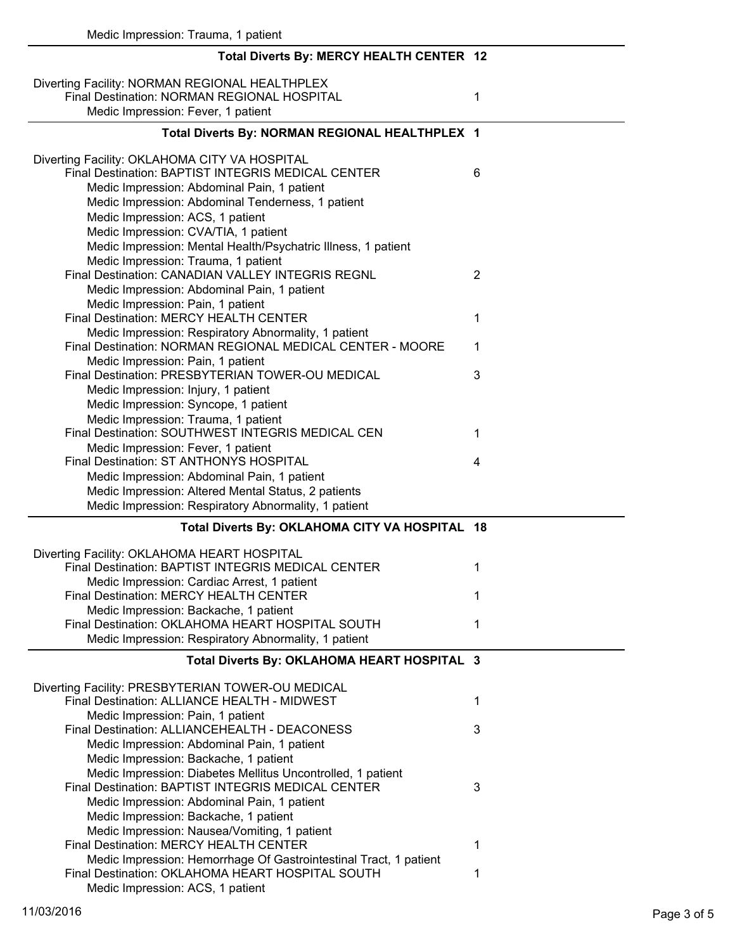| Medic Impression: Trauma, 1 patient                                                                                                 |                |
|-------------------------------------------------------------------------------------------------------------------------------------|----------------|
| Total Diverts By: MERCY HEALTH CENTER 12                                                                                            |                |
| Diverting Facility: NORMAN REGIONAL HEALTHPLEX<br>Final Destination: NORMAN REGIONAL HOSPITAL<br>Medic Impression: Fever, 1 patient | 1              |
| Total Diverts By: NORMAN REGIONAL HEALTHPLEX 1                                                                                      |                |
|                                                                                                                                     |                |
| Diverting Facility: OKLAHOMA CITY VA HOSPITAL<br>Final Destination: BAPTIST INTEGRIS MEDICAL CENTER                                 | 6              |
| Medic Impression: Abdominal Pain, 1 patient<br>Medic Impression: Abdominal Tenderness, 1 patient                                    |                |
| Medic Impression: ACS, 1 patient                                                                                                    |                |
| Medic Impression: CVA/TIA, 1 patient                                                                                                |                |
| Medic Impression: Mental Health/Psychatric Illness, 1 patient                                                                       |                |
| Medic Impression: Trauma, 1 patient<br>Final Destination: CANADIAN VALLEY INTEGRIS REGNL                                            | $\overline{2}$ |
| Medic Impression: Abdominal Pain, 1 patient                                                                                         |                |
| Medic Impression: Pain, 1 patient                                                                                                   |                |
| Final Destination: MERCY HEALTH CENTER                                                                                              | 1              |
| Medic Impression: Respiratory Abnormality, 1 patient<br>Final Destination: NORMAN REGIONAL MEDICAL CENTER - MOORE                   | 1              |
| Medic Impression: Pain, 1 patient                                                                                                   |                |
| Final Destination: PRESBYTERIAN TOWER-OU MEDICAL                                                                                    | 3              |
| Medic Impression: Injury, 1 patient<br>Medic Impression: Syncope, 1 patient                                                         |                |
| Medic Impression: Trauma, 1 patient                                                                                                 |                |
| Final Destination: SOUTHWEST INTEGRIS MEDICAL CEN                                                                                   | 1              |
| Medic Impression: Fever, 1 patient                                                                                                  |                |
| Final Destination: ST ANTHONYS HOSPITAL                                                                                             | 4              |
| Medic Impression: Abdominal Pain, 1 patient                                                                                         |                |
| Medic Impression: Altered Mental Status, 2 patients<br>Medic Impression: Respiratory Abnormality, 1 patient                         |                |
|                                                                                                                                     |                |
| Total Diverts By: OKLAHOMA CITY VA HOSPITAL 18                                                                                      |                |
| Diverting Facility: OKLAHOMA HEART HOSPITAL                                                                                         |                |
| Final Destination: BAPTIST INTEGRIS MEDICAL CENTER<br>Medic Impression: Cardiac Arrest, 1 patient                                   | 1              |
| Final Destination: MERCY HEALTH CENTER                                                                                              | 1              |
| Medic Impression: Backache, 1 patient                                                                                               |                |
| Final Destination: OKLAHOMA HEART HOSPITAL SOUTH                                                                                    | 1              |
| Medic Impression: Respiratory Abnormality, 1 patient                                                                                |                |
| Total Diverts By: OKLAHOMA HEART HOSPITAL 3                                                                                         |                |
| Diverting Facility: PRESBYTERIAN TOWER-OU MEDICAL                                                                                   |                |
| Final Destination: ALLIANCE HEALTH - MIDWEST                                                                                        | 1              |
| Medic Impression: Pain, 1 patient                                                                                                   |                |
| Final Destination: ALLIANCEHEALTH - DEACONESS                                                                                       | 3              |
| Medic Impression: Abdominal Pain, 1 patient<br>Medic Impression: Backache, 1 patient                                                |                |
| Medic Impression: Diabetes Mellitus Uncontrolled, 1 patient                                                                         |                |
| Final Destination: BAPTIST INTEGRIS MEDICAL CENTER                                                                                  | 3              |
| Medic Impression: Abdominal Pain, 1 patient                                                                                         |                |
| Medic Impression: Backache, 1 patient                                                                                               |                |
| Medic Impression: Nausea/Vomiting, 1 patient<br>Final Destination: MERCY HEALTH CENTER                                              |                |
| Medic Impression: Hemorrhage Of Gastrointestinal Tract, 1 patient                                                                   | 1              |
| Final Destination: OKLAHOMA HEART HOSPITAL SOUTH                                                                                    | 1              |
| Medic Impression: ACS, 1 patient                                                                                                    |                |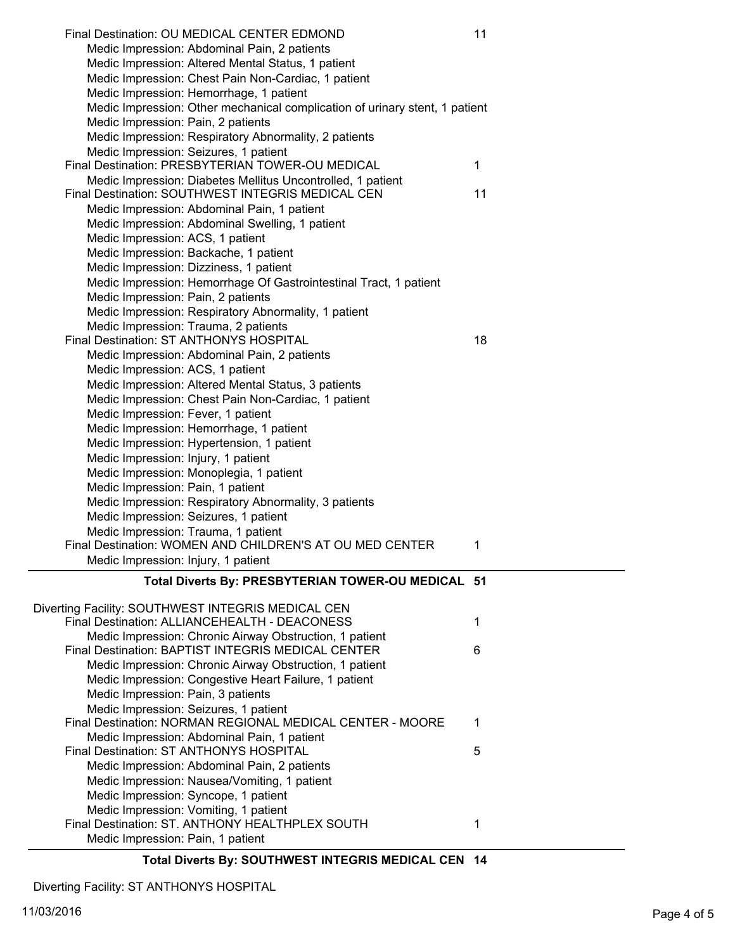| Final Destination: OU MEDICAL CENTER EDMOND                                 | 11 |
|-----------------------------------------------------------------------------|----|
| Medic Impression: Abdominal Pain, 2 patients                                |    |
| Medic Impression: Altered Mental Status, 1 patient                          |    |
| Medic Impression: Chest Pain Non-Cardiac, 1 patient                         |    |
| Medic Impression: Hemorrhage, 1 patient                                     |    |
| Medic Impression: Other mechanical complication of urinary stent, 1 patient |    |
| Medic Impression: Pain, 2 patients                                          |    |
| Medic Impression: Respiratory Abnormality, 2 patients                       |    |
| Medic Impression: Seizures, 1 patient                                       |    |
| Final Destination: PRESBYTERIAN TOWER-OU MEDICAL                            | 1  |
| Medic Impression: Diabetes Mellitus Uncontrolled, 1 patient                 |    |
| Final Destination: SOUTHWEST INTEGRIS MEDICAL CEN                           | 11 |
| Medic Impression: Abdominal Pain, 1 patient                                 |    |
| Medic Impression: Abdominal Swelling, 1 patient                             |    |
| Medic Impression: ACS, 1 patient                                            |    |
| Medic Impression: Backache, 1 patient                                       |    |
| Medic Impression: Dizziness, 1 patient                                      |    |
| Medic Impression: Hemorrhage Of Gastrointestinal Tract, 1 patient           |    |
| Medic Impression: Pain, 2 patients                                          |    |
| Medic Impression: Respiratory Abnormality, 1 patient                        |    |
| Medic Impression: Trauma, 2 patients                                        |    |
| Final Destination: ST ANTHONYS HOSPITAL                                     | 18 |
| Medic Impression: Abdominal Pain, 2 patients                                |    |
| Medic Impression: ACS, 1 patient                                            |    |
| Medic Impression: Altered Mental Status, 3 patients                         |    |
| Medic Impression: Chest Pain Non-Cardiac, 1 patient                         |    |
| Medic Impression: Fever, 1 patient                                          |    |
| Medic Impression: Hemorrhage, 1 patient                                     |    |
| Medic Impression: Hypertension, 1 patient                                   |    |
| Medic Impression: Injury, 1 patient                                         |    |
| Medic Impression: Monoplegia, 1 patient                                     |    |
| Medic Impression: Pain, 1 patient                                           |    |
| Medic Impression: Respiratory Abnormality, 3 patients                       |    |
| Medic Impression: Seizures, 1 patient                                       |    |
| Medic Impression: Trauma, 1 patient                                         |    |
| Final Destination: WOMEN AND CHILDREN'S AT OU MED CENTER                    | 1  |
| Medic Impression: Injury, 1 patient                                         |    |
|                                                                             |    |
| Total Diverts By: PRESBYTERIAN TOWER-OU MEDICAL 51                          |    |
| Diverting Facility: SOUTHWEST INTEGRIS MEDICAL CEN                          |    |
| Final Destination: ALLIANCEHEALTH - DEACONESS                               | 1  |
| Medic Impression: Chronic Airway Obstruction, 1 patient                     |    |
| Final Destination: BAPTIST INTEGRIS MEDICAL CENTER                          | 6  |
| Medic Impression: Chronic Airway Obstruction, 1 patient                     |    |
| Medic Impression: Congestive Heart Failure, 1 patient                       |    |
| Medic Impression: Pain, 3 patients                                          |    |
| Medic Impression: Seizures, 1 patient                                       |    |
| Final Destination: NORMAN REGIONAL MEDICAL CENTER - MOORE                   | 1  |
| Medic Impression: Abdominal Pain, 1 patient                                 |    |
| Final Destination: ST ANTHONYS HOSPITAL                                     | 5  |
| Medic Impression: Abdominal Pain, 2 patients                                |    |
| Medic Impression: Nausea/Vomiting, 1 patient                                |    |
| Medic Impression: Syncope, 1 patient                                        |    |
| Medic Impression: Vomiting, 1 patient                                       |    |
| Final Destination: ST. ANTHONY HEALTHPLEX SOUTH                             | 1  |
| Medic Impression: Pain, 1 patient                                           |    |
|                                                                             |    |

**Total Diverts By: SOUTHWEST INTEGRIS MEDICAL CEN 14**

Diverting Facility: ST ANTHONYS HOSPITAL